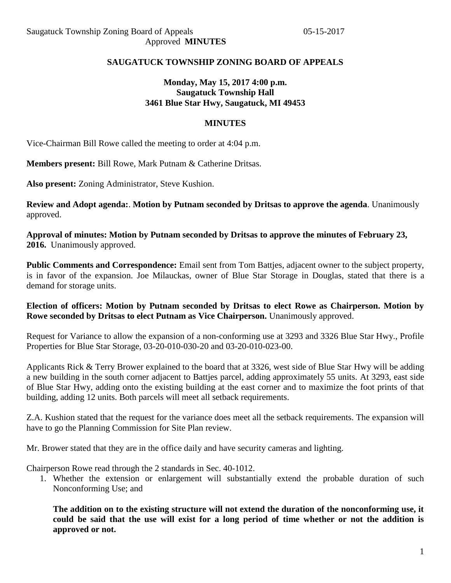### **SAUGATUCK TOWNSHIP ZONING BOARD OF APPEALS**

### **Monday, May 15, 2017 4:00 p.m. Saugatuck Township Hall 3461 Blue Star Hwy, Saugatuck, MI 49453**

#### **MINUTES**

Vice-Chairman Bill Rowe called the meeting to order at 4:04 p.m.

**Members present:** Bill Rowe, Mark Putnam & Catherine Dritsas.

**Also present:** Zoning Administrator, Steve Kushion.

**Review and Adopt agenda:**. **Motion by Putnam seconded by Dritsas to approve the agenda**. Unanimously approved.

**Approval of minutes: Motion by Putnam seconded by Dritsas to approve the minutes of February 23, 2016.** Unanimously approved.

**Public Comments and Correspondence:** Email sent from Tom Battjes, adjacent owner to the subject property, is in favor of the expansion. Joe Milauckas, owner of Blue Star Storage in Douglas, stated that there is a demand for storage units.

#### **Election of officers: Motion by Putnam seconded by Dritsas to elect Rowe as Chairperson. Motion by Rowe seconded by Dritsas to elect Putnam as Vice Chairperson.** Unanimously approved.

Request for Variance to allow the expansion of a non-conforming use at 3293 and 3326 Blue Star Hwy., Profile Properties for Blue Star Storage, 03-20-010-030-20 and 03-20-010-023-00.

Applicants Rick & Terry Brower explained to the board that at 3326, west side of Blue Star Hwy will be adding a new building in the south corner adjacent to Battjes parcel, adding approximately 55 units. At 3293, east side of Blue Star Hwy, adding onto the existing building at the east corner and to maximize the foot prints of that building, adding 12 units. Both parcels will meet all setback requirements.

Z.A. Kushion stated that the request for the variance does meet all the setback requirements. The expansion will have to go the Planning Commission for Site Plan review.

Mr. Brower stated that they are in the office daily and have security cameras and lighting.

Chairperson Rowe read through the 2 standards in Sec. 40-1012.

1. Whether the extension or enlargement will substantially extend the probable duration of such Nonconforming Use; and

**The addition on to the existing structure will not extend the duration of the nonconforming use, it could be said that the use will exist for a long period of time whether or not the addition is approved or not.**